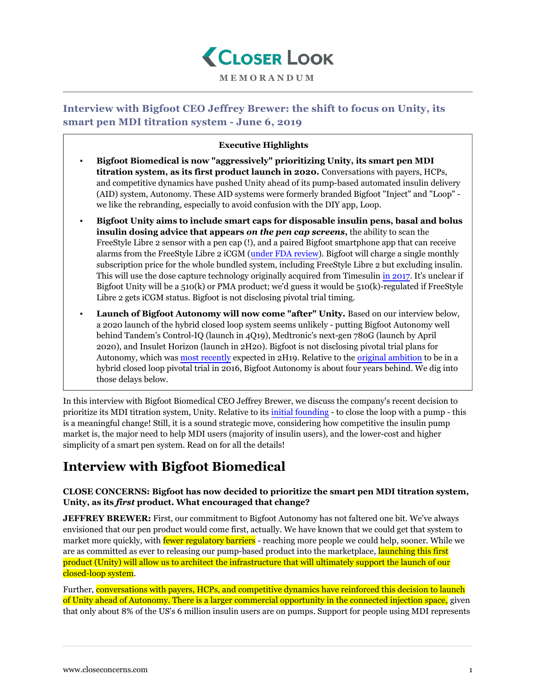

### **MEMORANDUM**

# **Interview with Bigfoot CEO Jeffrey Brewer: the shift to focus on Unity, its smart pen MDI titration system - June 6, 2019**

## **Executive Highlights**

- **Bigfoot Biomedical is now "aggressively" prioritizing Unity, its smart pen MDI titration system, as its first product launch in 2020.** Conversations with payers, HCPs, and competitive dynamics have pushed Unity ahead of its pump-based automated insulin delivery (AID) system, Autonomy. These AID systems were formerly branded Bigfoot "Inject" and "Loop" we like the rebranding, especially to avoid confusion with the DIY app, Loop.
- **Bigfoot Unity aims to include smart caps for disposable insulin pens, basal and bolus insulin dosing advice that appears** *on the pen cap screens***,** the ability to scan the FreeStyle Libre 2 sensor with a pen cap (!), and a paired Bigfoot smartphone app that can receive alarms from the FreeStyle Libre 2 iCGM [\(under FDA review\)](https://www.closeconcerns.com/knowledgebase/r/d4f07cd4#FreeStyle_Libre_2_Under_Review_with_the_FDA_as_an_iCGM_On_the_Market_in_the_EU). Bigfoot will charge a single monthly subscription price for the whole bundled system, including FreeStyle Libre 2 but excluding insulin. This will use the dose capture technology originally acquired from Timesulin [in 2017.](https://www.closeconcerns.com/knowledgebase/r/3af9e229) It's unclear if Bigfoot Unity will be a 510(k) or PMA product; we'd guess it would be 510(k)-regulated if FreeStyle Libre 2 gets iCGM status. Bigfoot is not disclosing pivotal trial timing.
- Launch of Bigfoot Autonomy will now come "after" Unity. Based on our interview below, a 2020 launch of the hybrid closed loop system seems unlikely - putting Bigfoot Autonomy well behind Tandem's Control-IQ (launch in 4Q19), Medtronic's next-gen 780G (launch by April 2020), and Insulet Horizon (launch in 2H20). Bigfoot is not disclosing pivotal trial plans for Autonomy, which was [most recently](https://www.closeconcerns.com/knowledgebase/r/25d6034f) expected in 2H19. Relative to the [original ambition](https://www.closeconcerns.com/knowledgebase/r/93a93df3) to be in a hybrid closed loop pivotal trial in 2016, Bigfoot Autonomy is about four years behind. We dig into those delays below.

In this interview with Bigfoot Biomedical CEO Jeffrey Brewer, we discuss the company's recent decision to prioritize its MDI titration system, Unity. Relative to its [initial founding](https://www.closeconcerns.com/knowledgebase/r/93a93df3) - to close the loop with a pump - this is a meaningful change! Still, it is a sound strategic move, considering how competitive the insulin pump market is, the major need to help MDI users (majority of insulin users), and the lower-cost and higher simplicity of a smart pen system. Read on for all the details!

# **Interview with Bigfoot Biomedical**

#### **CLOSE CONCERNS: Bigfoot has now decided to prioritize the smart pen MDI titration system, Unity, as its** *first* **product. What encouraged that change?**

**JEFFREY BREWER:** First, our commitment to Bigfoot Autonomy has not faltered one bit. We've always envisioned that our pen product would come first, actually. We have known that we could get that system to market more quickly, with **fewer regulatory barriers** - reaching more people we could help, sooner. While we are as committed as ever to releasing our pump-based product into the marketplace, launching this first product (Unity) will allow us to architect the infrastructure that will ultimately support the launch of our closed-loop system.

Further, conversations with payers, HCPs, and competitive dynamics have reinforced this decision to launch of Unity ahead of Autonomy. There is a larger commercial opportunity in the connected injection space, given that only about 8% of the US's 6 million insulin users are on pumps. Support for people using MDI represents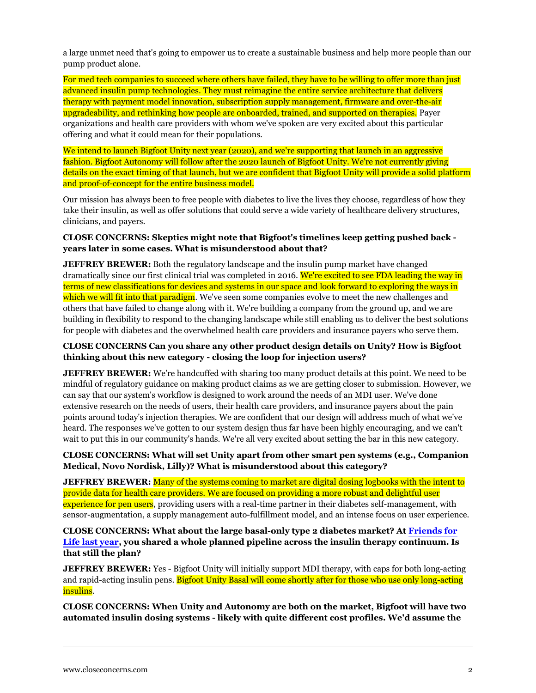a large unmet need that's going to empower us to create a sustainable business and help more people than our pump product alone.

For med tech companies to succeed where others have failed, they have to be willing to offer more than just advanced insulin pump technologies. They must reimagine the entire service architecture that delivers therapy with payment model innovation, subscription supply management, firmware and over-the-air upgradeability, and rethinking how people are onboarded, trained, and supported on therapies. Payer organizations and health care providers with whom we've spoken are very excited about this particular offering and what it could mean for their populations.

We intend to launch Bigfoot Unity next year (2020), and we're supporting that launch in an aggressive fashion. Bigfoot Autonomy will follow after the 2020 launch of Bigfoot Unity. We're not currently giving details on the exact timing of that launch, but we are confident that Bigfoot Unity will provide a solid platform and proof-of-concept for the entire business model.

Our mission has always been to free people with diabetes to live the lives they choose, regardless of how they take their insulin, as well as offer solutions that could serve a wide variety of healthcare delivery structures, clinicians, and payers.

#### **CLOSE CONCERNS: Skeptics might note that Bigfoot's timelines keep getting pushed back years later in some cases. What is misunderstood about that?**

**JEFFREY BREWER:** Both the regulatory landscape and the insulin pump market have changed dramatically since our first clinical trial was completed in 2016. We're excited to see FDA leading the way in terms of new classifications for devices and systems in our space and look forward to exploring the ways in which we will fit into that paradigm. We've seen some companies evolve to meet the new challenges and others that have failed to change along with it. We're building a company from the ground up, and we are building in flexibility to respond to the changing landscape while still enabling us to deliver the best solutions for people with diabetes and the overwhelmed health care providers and insurance payers who serve them.

#### **CLOSE CONCERNS Can you share any other product design details on Unity? How is Bigfoot thinking about this new category - closing the loop for injection users?**

**JEFFREY BREWER:** We're handcuffed with sharing too many product details at this point. We need to be mindful of regulatory guidance on making product claims as we are getting closer to submission. However, we can say that our system's workflow is designed to work around the needs of an MDI user. We've done extensive research on the needs of users, their health care providers, and insurance payers about the pain points around today's injection therapies. We are confident that our design will address much of what we've heard. The responses we've gotten to our system design thus far have been highly encouraging, and we can't wait to put this in our community's hands. We're all very excited about setting the bar in this new category.

#### **CLOSE CONCERNS: What will set Unity apart from other smart pen systems (e.g., Companion Medical, Novo Nordisk, Lilly)? What is misunderstood about this category?**

**JEFFREY BREWER:** Many of the systems coming to market are digital dosing logbooks with the intent to provide data for health care providers. We are focused on providing a more robust and delightful user experience for pen users, providing users with a real-time partner in their diabetes self-management, with sensor-augmentation, a supply management auto-fulfillment model, and an intense focus on user experience.

#### **CLOSE CONCERNS: What about the large basal-only type 2 diabetes market? At [Friends for](https://www.closeconcerns.com/knowledgebase/r/656a1658) [Life last year,](https://www.closeconcerns.com/knowledgebase/r/656a1658) you shared a whole planned pipeline across the insulin therapy continuum. Is that still the plan?**

**JEFFREY BREWER:** Yes - Bigfoot Unity will initially support MDI therapy, with caps for both long-acting and rapid-acting insulin pens. Bigfoot Unity Basal will come shortly after for those who use only long-acting insulins.

**CLOSE CONCERNS: When Unity and Autonomy are both on the market, Bigfoot will have two automated insulin dosing systems - likely with quite different cost profiles. We'd assume the**